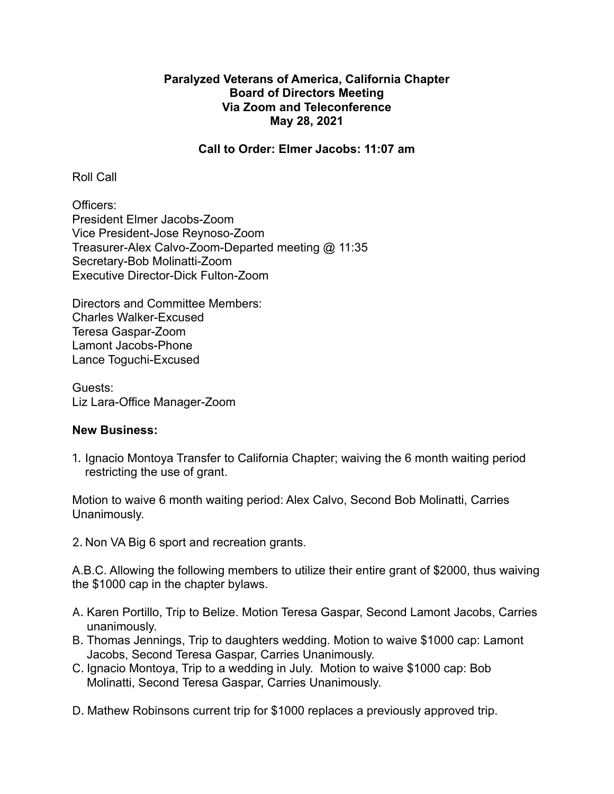## **Paralyzed Veterans of America, California Chapter Board of Directors Meeting Via Zoom and Teleconference May 28, 2021**

## **Call to Order: Elmer Jacobs: 11:07 am**

Roll Call

Officers: President Elmer Jacobs-Zoom Vice President-Jose Reynoso-Zoom Treasurer-Alex Calvo-Zoom-Departed meeting @ 11:35 Secretary-Bob Molinatti-Zoom Executive Director-Dick Fulton-Zoom

Directors and Committee Members: Charles Walker-Excused Teresa Gaspar-Zoom Lamont Jacobs-Phone Lance Toguchi-Excused

Guests: Liz Lara-Office Manager-Zoom

## **New Business:**

1. Ignacio Montoya Transfer to California Chapter; waiving the 6 month waiting period restricting the use of grant.

Motion to waive 6 month waiting period: Alex Calvo, Second Bob Molinatti, Carries Unanimously.

2. Non VA Big 6 sport and recreation grants.

A.B.C. Allowing the following members to utilize their entire grant of \$2000, thus waiving the \$1000 cap in the chapter bylaws.

- A. Karen Portillo, Trip to Belize. Motion Teresa Gaspar, Second Lamont Jacobs, Carries unanimously.
- B. Thomas Jennings, Trip to daughters wedding. Motion to waive \$1000 cap: Lamont Jacobs, Second Teresa Gaspar, Carries Unanimously.
- C. Ignacio Montoya, Trip to a wedding in July. Motion to waive \$1000 cap: Bob Molinatti, Second Teresa Gaspar, Carries Unanimously.

D. Mathew Robinsons current trip for \$1000 replaces a previously approved trip.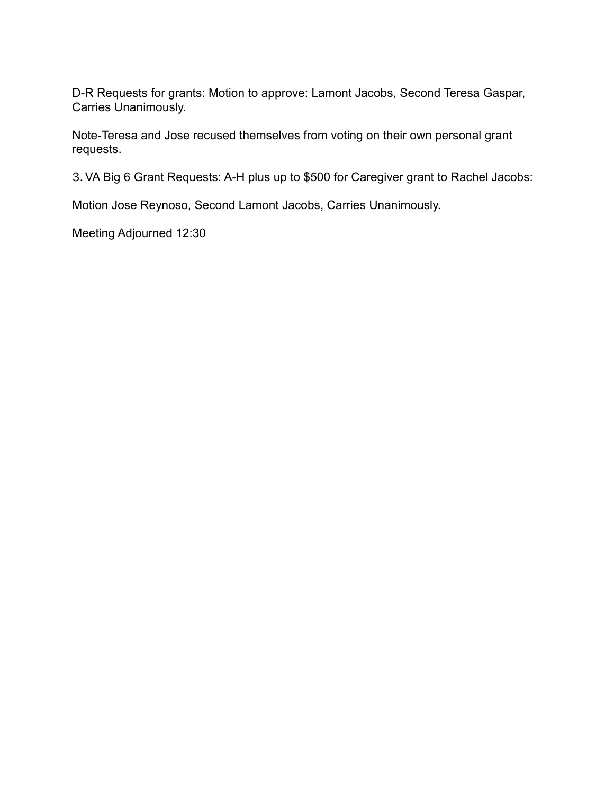D-R Requests for grants: Motion to approve: Lamont Jacobs, Second Teresa Gaspar, Carries Unanimously.

Note-Teresa and Jose recused themselves from voting on their own personal grant requests.

3.VA Big 6 Grant Requests: A-H plus up to \$500 for Caregiver grant to Rachel Jacobs:

Motion Jose Reynoso, Second Lamont Jacobs, Carries Unanimously.

Meeting Adjourned 12:30